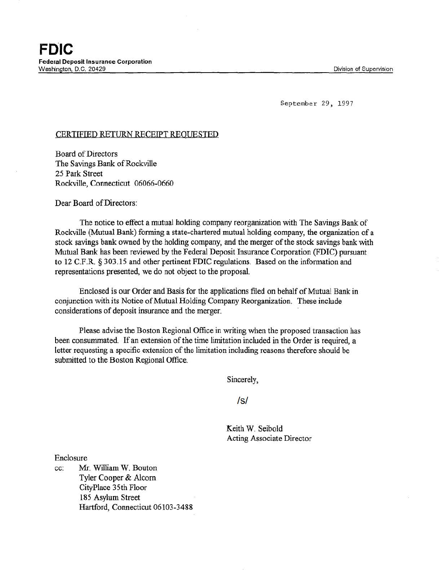September 29, 1997

## CERTIFIED RETURN RECEIPT REQUESTED

Board of Directors The Savings Bank of Rockville 25 Park Street Rockville, Connecticut 06066-0660

Dear Board of Directors:

The notice to effect a mutual holding company reorganization with The Savings Bank of Rockville (Mutual Bank) forming a state-chartered mutual holding company, the organization of a stock savings bank owned by the holding company, and the merger of the stock savings bank with Mutual Bank has been reviewed by the Federal Deposit Insurance Corporation {FDIC) pursuant to 12 C.F.R § 303.15 and other pertinent FDIC regulations. Based on the information and representations presented, we do not object to the proposal.

Enclosed is our Order and Basis for the applications filed on behalf of Mutual Bank in conjunction with its Notice of Mutual Holding Company Reorganization. These include considerations of deposit insurance and the merger.

Please advise the Boston Regional Office in writing when the proposed transaction has been consummated. If an extension of the time limitation included in the Order is required, a letter requesting a specific extension of the limitation including reasons therefore should be submitted to the Boston Regional Office.

Sincerely,

/s/

Keith W. Seibold Acting Associate Director

Enclosure

cc: Mr. William W. Bouton Tyler Cooper & Alcorn CityPlace 35th Floor 185 Asylum Street Hartford, Connecticut 06103-3488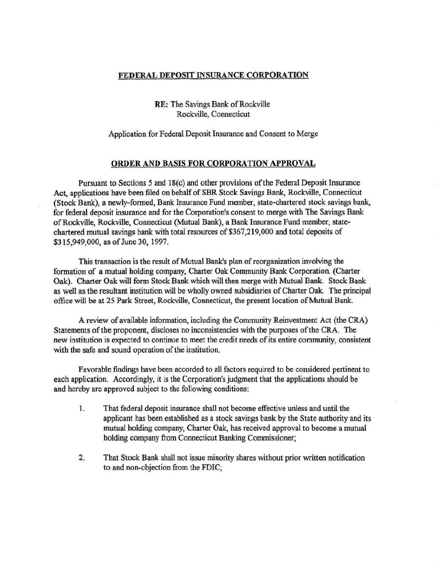## FEDERAL DEPOSIT INSURANCE CORPORATION

RE: The Savings Bank of Rockville Rockville, Connecticut

## Application for Federal Deposit Insurance and Consent to Merge

## ORDER AND BASIS FOR CORPORATION APPROVAL

Pursuant to Sections 5 and 18(c) and other provisions ofthe Federal Deposit Insurance Act, applications have been filed on behalf of SBR Stock Savings Bank, Rockville, Connecticut (Stock Bank), a newly-formed, Bank Insurance Fund member, state-chartered stock savings bank, for federal deposit insurance and for the Corporation's consent to merge with The Savings Bank of Rockville, Rockville, Connecticut (Mutual Bank), a Bank Insurance Fund member, statechartered mutual savings bank with total resources of \$367,219,000 and total deposits of \$315,949,000, as of June 30, 1997.

This transaction is the result of Mutual Bank's plan of reorganization involving the formation of a mutual holding company, Charter Oak Community Bank Corporation. (Charter Oak). Charter Oak will form Stock Bank which will then merge with Mutual Bank. Stock Bank as well as the resultant institution will be wholly owned subsidiaries of Charter Oak. The principal office will be at 25 Park Street, Rockville, Connecticut, the present location of Mutual Bank .

A review of available information, including the Community Reinvestment Act (the CRA) Statements of the proponent, discloses no inconsistencies with the purposes ofthe CRA. The new institution is expected to continue to meet the credit needs of its entire community, consistent with the safe and sound operation of the institution.

Favorable findings have been accorded to all factors required to be considered pertinent to each application. Accordingly, it is the Corporation's judgment that the applications should be and hereby are approved subject to the following conditions:

- 1. That federal deposit insurance shall not become effective unless and until the applicant has been established as a stock savings bank by the State authority and its mutual holding company, Charter Oak, has received approval to become a mutual holding company from Connecticut Banking Commissioner;
- 2. That Stock Bank shall not issue minority shares without prior written notification to and non-objection from the FDIC;